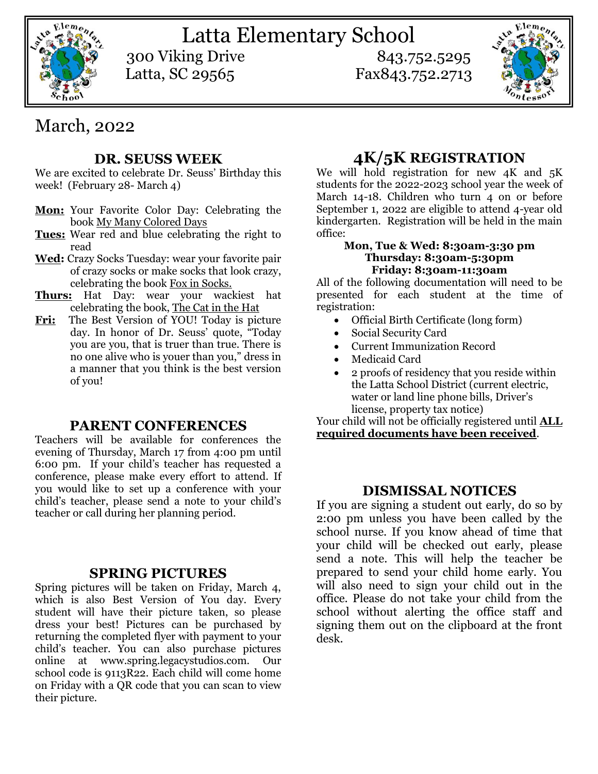

Latta Elementary School 300 Viking Drive 843.752.5295

Latta, SC 29565 Fax843.752.2713



# March, 2022

## **DR. SEUSS WEEK**

We are excited to celebrate Dr. Seuss' Birthday this week! (February 28- March 4)

- **Mon:** Your Favorite Color Day: Celebrating the book My Many Colored Days
- **Tues:** Wear red and blue celebrating the right to read
- **Wed:** Crazy Socks Tuesday: wear your favorite pair of crazy socks or make socks that look crazy, celebrating the book Fox in Socks.
- **Thurs:** Hat Day: wear your wackiest hat celebrating the book, The Cat in the Hat
- Fri: The Best Version of YOU! Today is picture day. In honor of Dr. Seuss' quote, "Today you are you, that is truer than true. There is no one alive who is youer than you," dress in a manner that you think is the best version of you!

## **PARENT CONFERENCES**

Teachers will be available for conferences the evening of Thursday, March 17 from 4:00 pm until 6:00 pm. If your child's teacher has requested a conference, please make every effort to attend. If you would like to set up a conference with your child's teacher, please send a note to your child's teacher or call during her planning period.

### **SPRING PICTURES**

Spring pictures will be taken on Friday, March 4, which is also Best Version of You day. Every student will have their picture taken, so please dress your best! Pictures can be purchased by returning the completed flyer with payment to your child's teacher. You can also purchase pictures online at [www.spring.legacystudios.com.](http://www.spring.legacystudios.com/) Our school code is 9113R22. Each child will come home on Friday with a QR code that you can scan to view their picture.

# **4K/5K REGISTRATION**

We will hold registration for new  $4K$  and  $5K$ students for the 2022-2023 school year the week of March 14-18. Children who turn 4 on or before September 1, 2022 are eligible to attend 4-year old kindergarten. Registration will be held in the main office:

#### **Mon, Tue & Wed: 8:30am-3:30 pm Thursday: 8:30am-5:30pm Friday: 8:30am-11:30am**

All of the following documentation will need to be presented for each student at the time of registration:

- Official Birth Certificate (long form)
- Social Security Card
- Current Immunization Record
- Medicaid Card
- 2 proofs of residency that you reside within the Latta School District (current electric, water or land line phone bills, Driver's license, property tax notice)

Your child will not be officially registered until **ALL required documents have been received**.

## **DISMISSAL NOTICES**

If you are signing a student out early, do so by 2:00 pm unless you have been called by the school nurse. If you know ahead of time that your child will be checked out early, please send a note. This will help the teacher be prepared to send your child home early. You will also need to sign your child out in the office. Please do not take your child from the school without alerting the office staff and signing them out on the clipboard at the front desk.